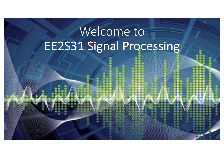# Welcome to EE2S31 Signal Processing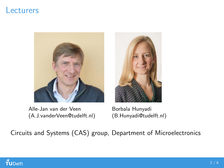#### Lecturers



Alle-Jan van der Veen (A.J.vanderVeen@tudelft.nl)



Borbala Hunyadi (B.Hunyadi@tudelft.nl)

Circuits and Systems (CAS) group, Department of Microelectronics

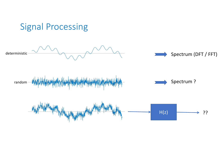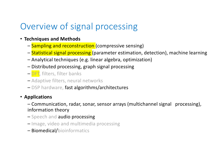## Overview of signal processing

- **Techniques and Methods**
	- **Sampling and reconstruction** (compressive sensing)
	- Statistical signal processing (parameter estimation, detection), machine learning
	- Analytical techniques (e.g. linear algebra, optimization)
	- Distributed processing, graph signal processing
	- DFT, filters, filter banks
	- Adaptive filters, neural networks
	- DSP hardware, fast algorithms/architectures

### • **Applications**

– Communication, radar, sonar, sensor arrays (multichannel signal processing), information theory

- Speech and audio processing
- Image, video and multimedia processing
- Biomedical/bioinformatics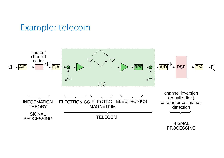



PROCESSING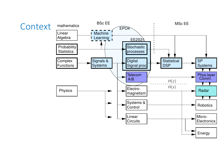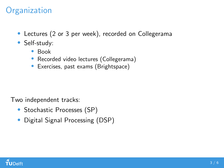#### **Organization**

- Lectures (2 or 3 per week), recorded on Collegerama
- Self-study:
	- Book
	- Recorded video lectures (Collegerama)
	- Exercises, past exams (Brightspace)

Two independent tracks:

- Stochastic Processes (SP)
- Digital Signal Processing (DSP)

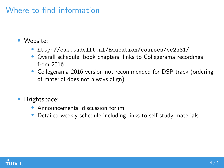#### Where to find information

- Website:
	- <http://cas.tudelft.nl/Education/courses/ee2s31/>
	- Overall schedule, book chapters, links to Collegerama recordings from 2016
	- Collegerama 2016 version not recommended for DSP track (ordering of material does not always align)
- Brightspace:
	- Announcements, discussion forum
	- Detailed weekly schedule including links to self-study materials

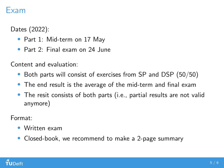#### Exam

Dates (2022):

- Part 1: Mid-term on 17 May
- Part 2: Final exam on 24 June

Content and evaluation:

- Both parts will consist of exercises from SP and DSP (50/50)
- The end result is the average of the mid-term and final exam
- The resit consists of both parts (i.e., partial results are not valid anymore)

Format:

- Written exam
- Closed-book, we recommend to make a 2-page summary